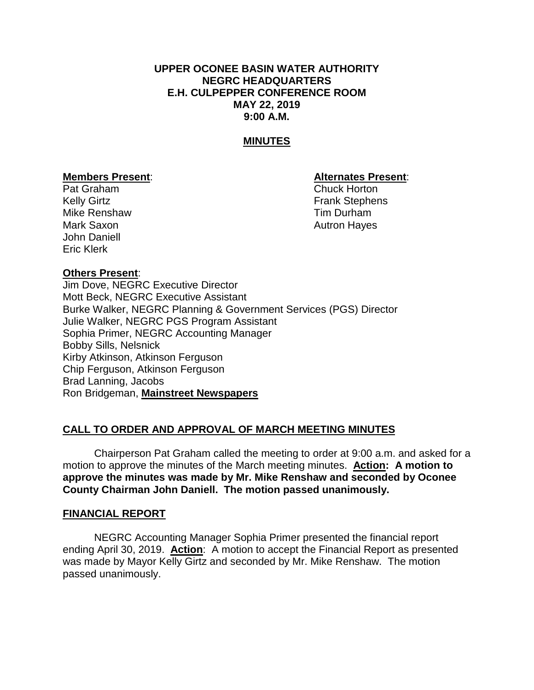# **UPPER OCONEE BASIN WATER AUTHORITY NEGRC HEADQUARTERS E.H. CULPEPPER CONFERENCE ROOM MAY 22, 2019 9:00 A.M.**

# **MINUTES**

# Pat Graham Chuck Horton Mike Renshaw Tim Durham Mark Saxon **Autron Hayes** Autron Hayes John Daniell Eric Klerk

#### **Members Present**: **Alternates Present**:

Kelly Girtz **Frank Stephens** 

#### **Others Present**:

Jim Dove, NEGRC Executive Director Mott Beck, NEGRC Executive Assistant Burke Walker, NEGRC Planning & Government Services (PGS) Director Julie Walker, NEGRC PGS Program Assistant Sophia Primer, NEGRC Accounting Manager Bobby Sills, Nelsnick Kirby Atkinson, Atkinson Ferguson Chip Ferguson, Atkinson Ferguson Brad Lanning, Jacobs Ron Bridgeman, **Mainstreet Newspapers**

#### **CALL TO ORDER AND APPROVAL OF MARCH MEETING MINUTES**

Chairperson Pat Graham called the meeting to order at 9:00 a.m. and asked for a motion to approve the minutes of the March meeting minutes. **Action: A motion to approve the minutes was made by Mr. Mike Renshaw and seconded by Oconee County Chairman John Daniell. The motion passed unanimously.**

#### **FINANCIAL REPORT**

NEGRC Accounting Manager Sophia Primer presented the financial report ending April 30, 2019. **Action**: A motion to accept the Financial Report as presented was made by Mayor Kelly Girtz and seconded by Mr. Mike Renshaw. The motion passed unanimously.